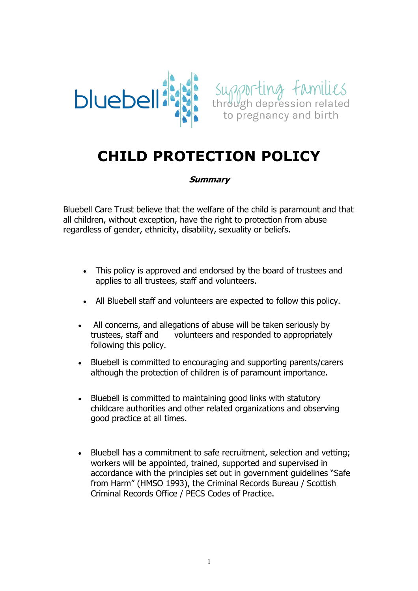



# **CHILD PROTECTION POLICY**

#### **Summary**

Bluebell Care Trust believe that the welfare of the child is paramount and that all children, without exception, have the right to protection from abuse regardless of gender, ethnicity, disability, sexuality or beliefs.

- This policy is approved and endorsed by the board of trustees and applies to all trustees, staff and volunteers.
- All Bluebell staff and volunteers are expected to follow this policy.
- All concerns, and allegations of abuse will be taken seriously by trustees, staff and volunteers and responded to appropriately following this policy.
- Bluebell is committed to encouraging and supporting parents/carers although the protection of children is of paramount importance.
- Bluebell is committed to maintaining good links with statutory childcare authorities and other related organizations and observing good practice at all times.
- Bluebell has a commitment to safe recruitment, selection and vetting; workers will be appointed, trained, supported and supervised in accordance with the principles set out in government guidelines "Safe from Harm" (HMSO 1993), the Criminal Records Bureau / Scottish Criminal Records Office / PECS Codes of Practice.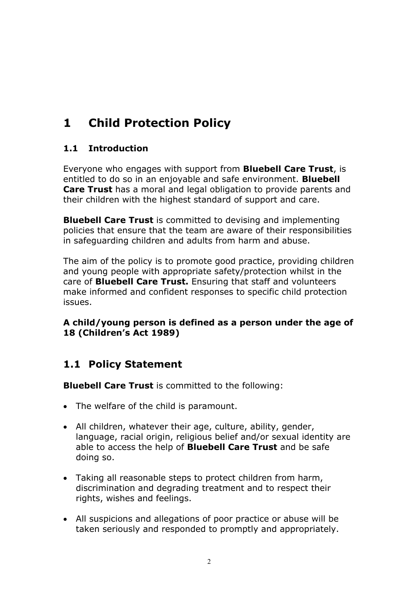# **1 Child Protection Policy**

### **1.1 Introduction**

Everyone who engages with support from **Bluebell Care Trust**, is entitled to do so in an enjoyable and safe environment. **Bluebell Care Trust** has a moral and legal obligation to provide parents and their children with the highest standard of support and care.

**Bluebell Care Trust** is committed to devising and implementing policies that ensure that the team are aware of their responsibilities in safeguarding children and adults from harm and abuse.

The aim of the policy is to promote good practice, providing children and young people with appropriate safety/protection whilst in the care of **Bluebell Care Trust.** Ensuring that staff and volunteers make informed and confident responses to specific child protection issues.

### **A child/young person is defined as a person under the age of 18 (Children's Act 1989)**

### **1.1 Policy Statement**

**Bluebell Care Trust** is committed to the following:

- The welfare of the child is paramount.
- All children, whatever their age, culture, ability, gender, language, racial origin, religious belief and/or sexual identity are able to access the help of **Bluebell Care Trust** and be safe doing so.
- Taking all reasonable steps to protect children from harm, discrimination and degrading treatment and to respect their rights, wishes and feelings.
- All suspicions and allegations of poor practice or abuse will be taken seriously and responded to promptly and appropriately.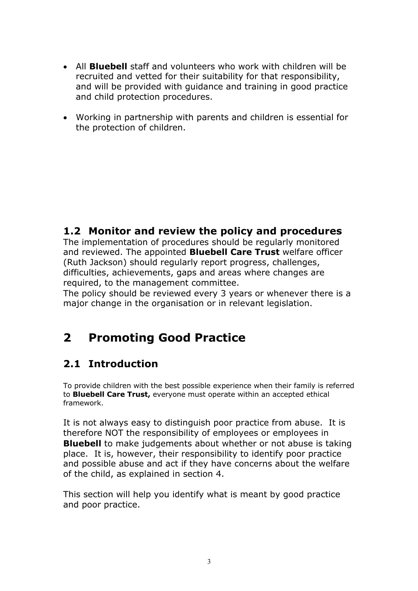- All **Bluebell** staff and volunteers who work with children will be recruited and vetted for their suitability for that responsibility, and will be provided with guidance and training in good practice and child protection procedures.
- Working in partnership with parents and children is essential for the protection of children.

### **1.2 Monitor and review the policy and procedures**

The implementation of procedures should be regularly monitored and reviewed. The appointed **Bluebell Care Trust** welfare officer (Ruth Jackson) should regularly report progress, challenges, difficulties, achievements, gaps and areas where changes are required, to the management committee.

The policy should be reviewed every 3 years or whenever there is a major change in the organisation or in relevant legislation.

# **2 Promoting Good Practice**

### **2.1 Introduction**

To provide children with the best possible experience when their family is referred to **Bluebell Care Trust,** everyone must operate within an accepted ethical framework.

It is not always easy to distinguish poor practice from abuse. It is therefore NOT the responsibility of employees or employees in **Bluebell** to make judgements about whether or not abuse is taking place. It is, however, their responsibility to identify poor practice and possible abuse and act if they have concerns about the welfare of the child, as explained in section 4.

This section will help you identify what is meant by good practice and poor practice.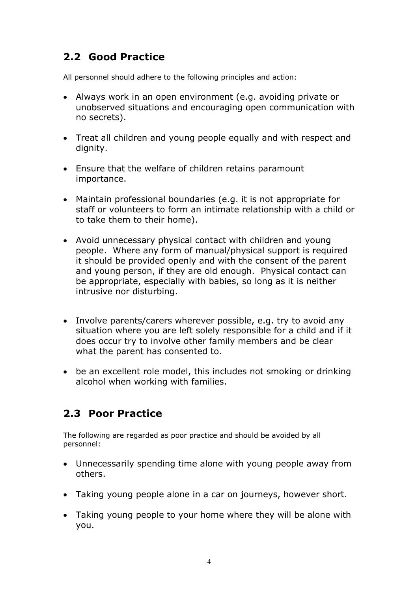## **2.2 Good Practice**

All personnel should adhere to the following principles and action:

- Always work in an open environment (e.g. avoiding private or unobserved situations and encouraging open communication with no secrets).
- Treat all children and young people equally and with respect and dignity.
- Ensure that the welfare of children retains paramount importance.
- Maintain professional boundaries (e.g. it is not appropriate for staff or volunteers to form an intimate relationship with a child or to take them to their home).
- Avoid unnecessary physical contact with children and young people. Where any form of manual/physical support is required it should be provided openly and with the consent of the parent and young person, if they are old enough. Physical contact can be appropriate, especially with babies, so long as it is neither intrusive nor disturbing.
- Involve parents/carers wherever possible, e.g. try to avoid any situation where you are left solely responsible for a child and if it does occur try to involve other family members and be clear what the parent has consented to.
- be an excellent role model, this includes not smoking or drinking alcohol when working with families.

### **2.3 Poor Practice**

The following are regarded as poor practice and should be avoided by all personnel:

- Unnecessarily spending time alone with young people away from others.
- Taking young people alone in a car on journeys, however short.
- Taking young people to your home where they will be alone with you.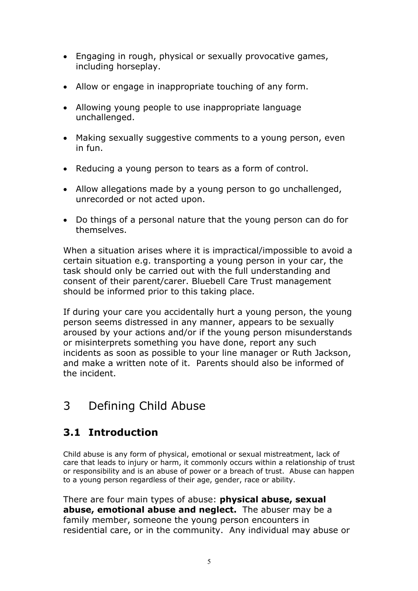- Engaging in rough, physical or sexually provocative games, including horseplay.
- Allow or engage in inappropriate touching of any form.
- Allowing young people to use inappropriate language unchallenged.
- Making sexually suggestive comments to a young person, even in fun.
- Reducing a young person to tears as a form of control.
- Allow allegations made by a young person to go unchallenged, unrecorded or not acted upon.
- Do things of a personal nature that the young person can do for themselves.

When a situation arises where it is impractical/impossible to avoid a certain situation e.g. transporting a young person in your car, the task should only be carried out with the full understanding and consent of their parent/carer. Bluebell Care Trust management should be informed prior to this taking place.

If during your care you accidentally hurt a young person, the young person seems distressed in any manner, appears to be sexually aroused by your actions and/or if the young person misunderstands or misinterprets something you have done, report any such incidents as soon as possible to your line manager or Ruth Jackson, and make a written note of it. Parents should also be informed of the incident.

# 3 Defining Child Abuse

### **3.1 Introduction**

Child abuse is any form of physical, emotional or sexual mistreatment, lack of care that leads to injury or harm, it commonly occurs within a relationship of trust or responsibility and is an abuse of power or a breach of trust. Abuse can happen to a young person regardless of their age, gender, race or ability.

There are four main types of abuse: **physical abuse, sexual abuse, emotional abuse and neglect.** The abuser may be a family member, someone the young person encounters in residential care, or in the community. Any individual may abuse or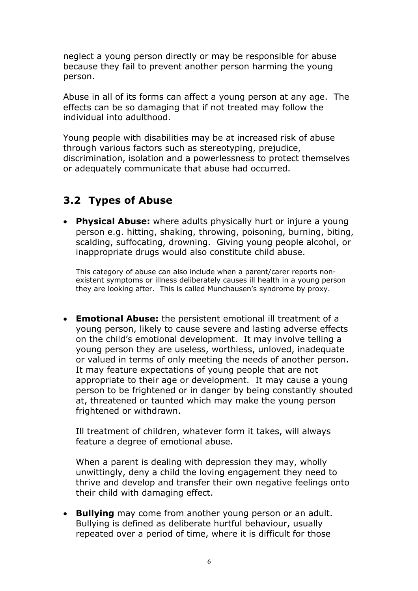neglect a young person directly or may be responsible for abuse because they fail to prevent another person harming the young person.

Abuse in all of its forms can affect a young person at any age. The effects can be so damaging that if not treated may follow the individual into adulthood.

Young people with disabilities may be at increased risk of abuse through various factors such as stereotyping, prejudice, discrimination, isolation and a powerlessness to protect themselves or adequately communicate that abuse had occurred.

## **3.2 Types of Abuse**

• **Physical Abuse:** where adults physically hurt or injure a young person e.g. hitting, shaking, throwing, poisoning, burning, biting, scalding, suffocating, drowning. Giving young people alcohol, or inappropriate drugs would also constitute child abuse.

This category of abuse can also include when a parent/carer reports nonexistent symptoms or illness deliberately causes ill health in a young person they are looking after. This is called Munchausen's syndrome by proxy.

• **Emotional Abuse:** the persistent emotional ill treatment of a young person, likely to cause severe and lasting adverse effects on the child's emotional development. It may involve telling a young person they are useless, worthless, unloved, inadequate or valued in terms of only meeting the needs of another person. It may feature expectations of young people that are not appropriate to their age or development. It may cause a young person to be frightened or in danger by being constantly shouted at, threatened or taunted which may make the young person frightened or withdrawn.

Ill treatment of children, whatever form it takes, will always feature a degree of emotional abuse.

When a parent is dealing with depression they may, wholly unwittingly, deny a child the loving engagement they need to thrive and develop and transfer their own negative feelings onto their child with damaging effect.

• **Bullying** may come from another young person or an adult. Bullying is defined as deliberate hurtful behaviour, usually repeated over a period of time, where it is difficult for those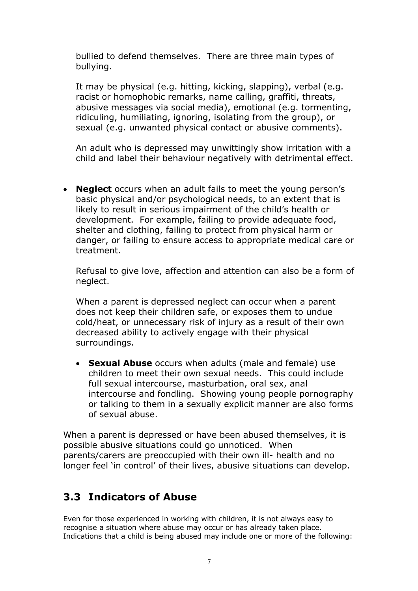bullied to defend themselves. There are three main types of bullying.

It may be physical (e.g. hitting, kicking, slapping), verbal (e.g. racist or homophobic remarks, name calling, graffiti, threats, abusive messages via social media), emotional (e.g. tormenting, ridiculing, humiliating, ignoring, isolating from the group), or sexual (e.g. unwanted physical contact or abusive comments).

An adult who is depressed may unwittingly show irritation with a child and label their behaviour negatively with detrimental effect.

• **Neglect** occurs when an adult fails to meet the young person's basic physical and/or psychological needs, to an extent that is likely to result in serious impairment of the child's health or development. For example, failing to provide adequate food, shelter and clothing, failing to protect from physical harm or danger, or failing to ensure access to appropriate medical care or treatment.

Refusal to give love, affection and attention can also be a form of neglect.

When a parent is depressed neglect can occur when a parent does not keep their children safe, or exposes them to undue cold/heat, or unnecessary risk of injury as a result of their own decreased ability to actively engage with their physical surroundings.

• **Sexual Abuse** occurs when adults (male and female) use children to meet their own sexual needs. This could include full sexual intercourse, masturbation, oral sex, anal intercourse and fondling. Showing young people pornography or talking to them in a sexually explicit manner are also forms of sexual abuse.

When a parent is depressed or have been abused themselves, it is possible abusive situations could go unnoticed. When parents/carers are preoccupied with their own ill- health and no longer feel 'in control' of their lives, abusive situations can develop.

### **3.3 Indicators of Abuse**

Even for those experienced in working with children, it is not always easy to recognise a situation where abuse may occur or has already taken place. Indications that a child is being abused may include one or more of the following: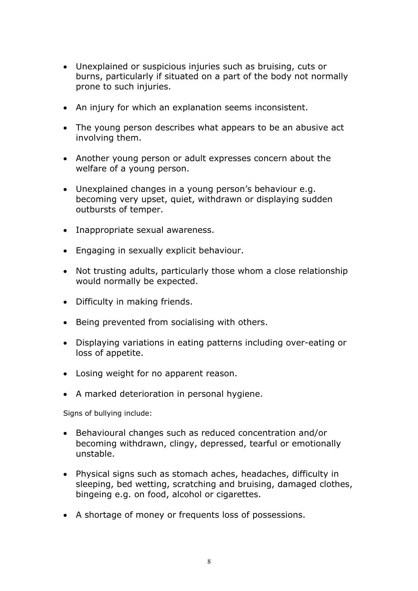- Unexplained or suspicious injuries such as bruising, cuts or burns, particularly if situated on a part of the body not normally prone to such injuries.
- An injury for which an explanation seems inconsistent.
- The young person describes what appears to be an abusive act involving them.
- Another young person or adult expresses concern about the welfare of a young person.
- Unexplained changes in a young person's behaviour e.g. becoming very upset, quiet, withdrawn or displaying sudden outbursts of temper.
- Inappropriate sexual awareness.
- Engaging in sexually explicit behaviour.
- Not trusting adults, particularly those whom a close relationship would normally be expected.
- Difficulty in making friends.
- Being prevented from socialising with others.
- Displaying variations in eating patterns including over-eating or loss of appetite.
- Losing weight for no apparent reason.
- A marked deterioration in personal hygiene.

Signs of bullying include:

- Behavioural changes such as reduced concentration and/or becoming withdrawn, clingy, depressed, tearful or emotionally unstable.
- Physical signs such as stomach aches, headaches, difficulty in sleeping, bed wetting, scratching and bruising, damaged clothes, bingeing e.g. on food, alcohol or cigarettes.
- A shortage of money or frequents loss of possessions.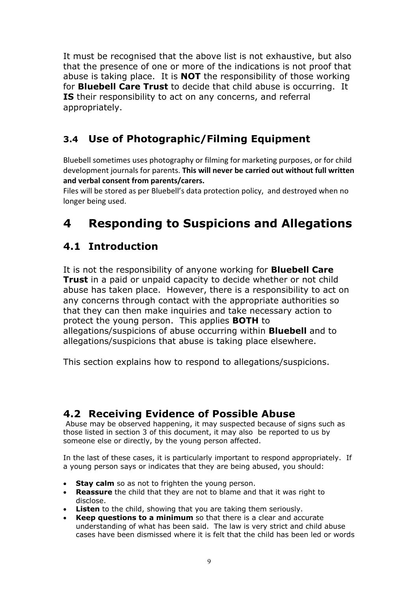It must be recognised that the above list is not exhaustive, but also that the presence of one or more of the indications is not proof that abuse is taking place. It is **NOT** the responsibility of those working for **Bluebell Care Trust** to decide that child abuse is occurring. It **IS** their responsibility to act on any concerns, and referral appropriately.

# **3.4 Use of Photographic/Filming Equipment**

Bluebell sometimes uses photography or filming for marketing purposes, or for child development journals for parents. **This will never be carried out without full written and verbal consent from parents/carers.**

Files will be stored as per Bluebell's data protection policy, and destroyed when no longer being used.

# **4 Responding to Suspicions and Allegations**

## **4.1 Introduction**

It is not the responsibility of anyone working for **Bluebell Care Trust** in a paid or unpaid capacity to decide whether or not child abuse has taken place. However, there is a responsibility to act on any concerns through contact with the appropriate authorities so that they can then make inquiries and take necessary action to protect the young person. This applies **BOTH** to allegations/suspicions of abuse occurring within **Bluebell** and to allegations/suspicions that abuse is taking place elsewhere.

This section explains how to respond to allegations/suspicions.

### **4.2 Receiving Evidence of Possible Abuse**

Abuse may be observed happening, it may suspected because of signs such as those listed in section 3 of this document, it may also be reported to us by someone else or directly, by the young person affected.

In the last of these cases, it is particularly important to respond appropriately. If a young person says or indicates that they are being abused, you should:

- **Stay calm** so as not to frighten the young person.
- **Reassure** the child that they are not to blame and that it was right to disclose.
- **Listen** to the child, showing that you are taking them seriously.
- **Keep questions to a minimum** so that there is a clear and accurate understanding of what has been said. The law is very strict and child abuse cases have been dismissed where it is felt that the child has been led or words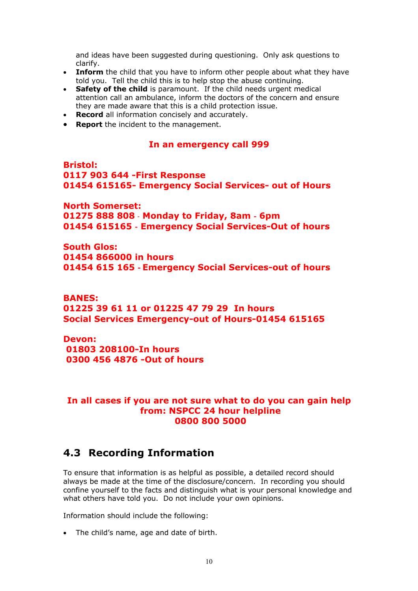and ideas have been suggested during questioning. Only ask questions to clarify.

- **Inform** the child that you have to inform other people about what they have told you. Tell the child this is to help stop the abuse continuing.
- **Safety of the child** is paramount. If the child needs urgent medical attention call an ambulance, inform the doctors of the concern and ensure they are made aware that this is a child protection issue.
- **Record** all information concisely and accurately.
- **Report** the incident to the management.

#### **In an emergency call 999**

**Bristol: 0117 903 644 -First Response 01454 615165- Emergency Social Services- out of Hours**

**North Somerset: 01275 888 808** - **Monday to Friday, 8am** - **6pm 01454 615165** - **Emergency Social Services-Out of hours** 

**South Glos: 01454 866000 in hours 01454 615 165** - **Emergency Social Services-out of hours**

**BANES: 01225 39 61 11 or 01225 47 79 29 In hours Social Services Emergency-out of Hours-01454 615165**

**Devon: 01803 208100-In hours 0300 456 4876 -Out of hours**

#### **In all cases if you are not sure what to do you can gain help from: NSPCC 24 hour helpline 0800 800 5000**

### **4.3 Recording Information**

To ensure that information is as helpful as possible, a detailed record should always be made at the time of the disclosure/concern. In recording you should confine yourself to the facts and distinguish what is your personal knowledge and what others have told you. Do not include your own opinions.

Information should include the following:

• The child's name, age and date of birth.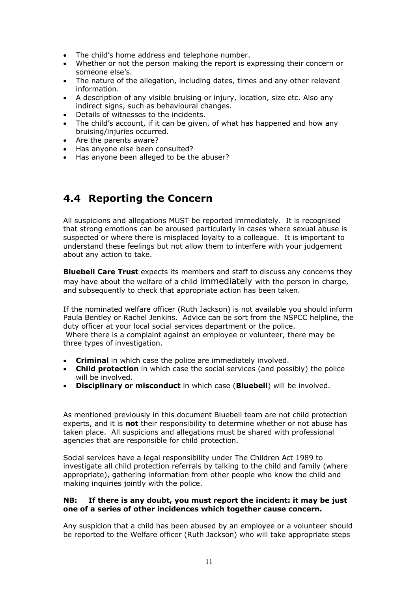- The child's home address and telephone number.
- Whether or not the person making the report is expressing their concern or someone else's.
- The nature of the allegation, including dates, times and any other relevant information.
- A description of any visible bruising or injury, location, size etc. Also any indirect signs, such as behavioural changes.
- Details of witnesses to the incidents.
- The child's account, if it can be given, of what has happened and how any bruising/injuries occurred.
- Are the parents aware?
- Has anyone else been consulted?
- Has anyone been alleged to be the abuser?

### **4.4 Reporting the Concern**

All suspicions and allegations MUST be reported immediately. It is recognised that strong emotions can be aroused particularly in cases where sexual abuse is suspected or where there is misplaced loyalty to a colleague. It is important to understand these feelings but not allow them to interfere with your judgement about any action to take.

**Bluebell Care Trust** expects its members and staff to discuss any concerns they may have about the welfare of a child immediately with the person in charge, and subsequently to check that appropriate action has been taken.

If the nominated welfare officer (Ruth Jackson) is not available you should inform Paula Bentley or Rachel Jenkins. Advice can be sort from the NSPCC helpline, the duty officer at your local social services department or the police.

Where there is a complaint against an employee or volunteer, there may be three types of investigation.

- **Criminal** in which case the police are immediately involved.
- **Child protection** in which case the social services (and possibly) the police will be involved.
- **Disciplinary or misconduct** in which case (**Bluebell**) will be involved.

As mentioned previously in this document Bluebell team are not child protection experts, and it is **not** their responsibility to determine whether or not abuse has taken place. All suspicions and allegations must be shared with professional agencies that are responsible for child protection.

Social services have a legal responsibility under The Children Act 1989 to investigate all child protection referrals by talking to the child and family (where appropriate), gathering information from other people who know the child and making inquiries jointly with the police.

#### **NB: If there is any doubt, you must report the incident: it may be just one of a series of other incidences which together cause concern.**

Any suspicion that a child has been abused by an employee or a volunteer should be reported to the Welfare officer (Ruth Jackson) who will take appropriate steps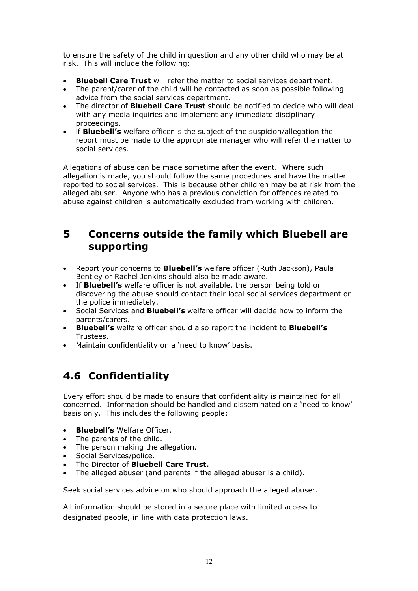to ensure the safety of the child in question and any other child who may be at risk. This will include the following:

- **Bluebell Care Trust** will refer the matter to social services department.
- The parent/carer of the child will be contacted as soon as possible following advice from the social services department.
- The director of **Bluebell Care Trust** should be notified to decide who will deal with any media inquiries and implement any immediate disciplinary proceedings.
- if **Bluebell's** welfare officer is the subject of the suspicion/allegation the report must be made to the appropriate manager who will refer the matter to social services.

Allegations of abuse can be made sometime after the event. Where such allegation is made, you should follow the same procedures and have the matter reported to social services. This is because other children may be at risk from the alleged abuser. Anyone who has a previous conviction for offences related to abuse against children is automatically excluded from working with children.

### **5 Concerns outside the family which Bluebell are supporting**

- Report your concerns to **Bluebell's** welfare officer (Ruth Jackson), Paula Bentley or Rachel Jenkins should also be made aware.
- If **Bluebell's** welfare officer is not available, the person being told or discovering the abuse should contact their local social services department or the police immediately.
- Social Services and **Bluebell's** welfare officer will decide how to inform the parents/carers.
- **Bluebell's** welfare officer should also report the incident to **Bluebell's** Trustees.
- Maintain confidentiality on a 'need to know' basis.

# **4.6 Confidentiality**

Every effort should be made to ensure that confidentiality is maintained for all concerned. Information should be handled and disseminated on a 'need to know' basis only. This includes the following people:

- **Bluebell's** Welfare Officer.
- The parents of the child.
- The person making the allegation.
- Social Services/police.
- The Director of **Bluebell Care Trust.**
- The alleged abuser (and parents if the alleged abuser is a child).

Seek social services advice on who should approach the alleged abuser.

All information should be stored in a secure place with limited access to designated people, in line with data protection laws.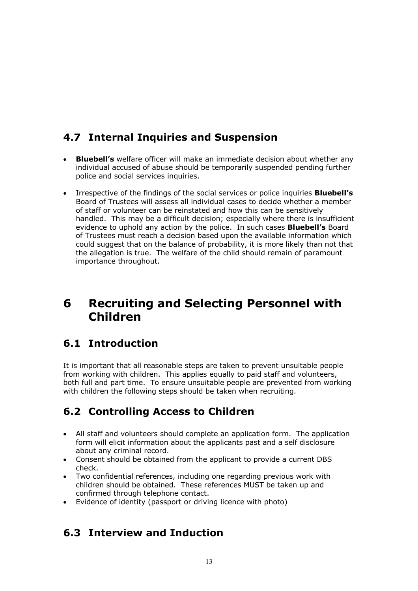## **4.7 Internal Inquiries and Suspension**

- **Bluebell's** welfare officer will make an immediate decision about whether any individual accused of abuse should be temporarily suspended pending further police and social services inquiries.
- Irrespective of the findings of the social services or police inquiries **Bluebell's** Board of Trustees will assess all individual cases to decide whether a member of staff or volunteer can be reinstated and how this can be sensitively handled. This may be a difficult decision; especially where there is insufficient evidence to uphold any action by the police. In such cases **Bluebell's** Board of Trustees must reach a decision based upon the available information which could suggest that on the balance of probability, it is more likely than not that the allegation is true. The welfare of the child should remain of paramount importance throughout.

# **6 Recruiting and Selecting Personnel with Children**

### **6.1 Introduction**

It is important that all reasonable steps are taken to prevent unsuitable people from working with children. This applies equally to paid staff and volunteers, both full and part time. To ensure unsuitable people are prevented from working with children the following steps should be taken when recruiting.

# **6.2 Controlling Access to Children**

- All staff and volunteers should complete an application form. The application form will elicit information about the applicants past and a self disclosure about any criminal record.
- Consent should be obtained from the applicant to provide a current DBS check.
- Two confidential references, including one regarding previous work with children should be obtained. These references MUST be taken up and confirmed through telephone contact.
- Evidence of identity (passport or driving licence with photo)

### **6.3 Interview and Induction**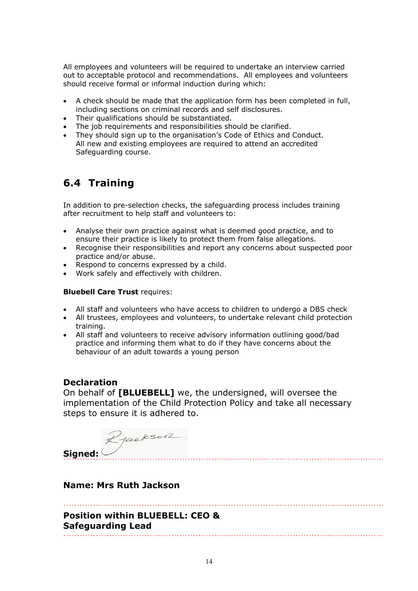All employees and volunteers will be required to undertake an interview carried out to acceptable protocol and recommendations. All employees and volunteers should receive formal or informal induction during which:

- A check should be made that the application form has been completed in full, including sections on criminal records and self disclosures.
- Their qualifications should be substantiated.
- The job requirements and responsibilities should be clarified.
- They should sign up to the organisation's Code of Ethics and Conduct. All new and existing employees are required to attend an accredited Safeguarding course.

## **6.4 Training**

In addition to pre-selection checks, the safeguarding process includes training after recruitment to help staff and volunteers to:

- Analyse their own practice against what is deemed good practice, and to ensure their practice is likely to protect them from false allegations.
- Recognise their responsibilities and report any concerns about suspected poor practice and/or abuse.
- Respond to concerns expressed by a child.
- Work safely and effectively with children.

#### **Bluebell Care Trust** requires:

- All staff and volunteers who have access to children to undergo a DBS check
- All trustees, employees and volunteers, to undertake relevant child protection training.
- All staff and volunteers to receive advisory information outlining good/bad practice and informing them what to do if they have concerns about the behaviour of an adult towards a young person

#### **Declaration**

On behalf of **[BLUEBELL]** we, the undersigned, will oversee the implementation of the Child Protection Policy and take all necessary steps to ensure it is adhered to.

Rjackson. **Signed:** 

#### **Name: Mrs Ruth Jackson**

**Position within BLUEBELL: CEO & Safeguarding Lead**